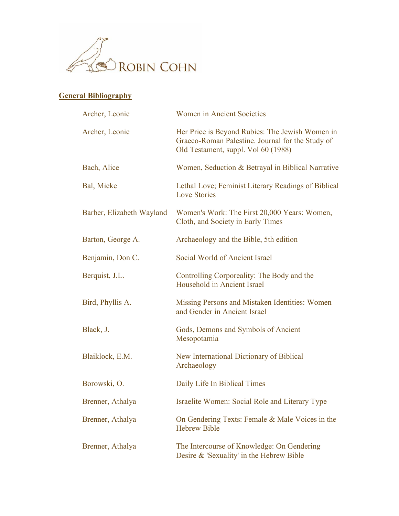

## **General Bibliography**

| Archer, Leonie            | Women in Ancient Societies                                                                                                                 |
|---------------------------|--------------------------------------------------------------------------------------------------------------------------------------------|
| Archer, Leonie            | Her Price is Beyond Rubies: The Jewish Women in<br>Graeco-Roman Palestine. Journal for the Study of<br>Old Testament, suppl. Vol 60 (1988) |
| Bach, Alice               | Women, Seduction & Betrayal in Biblical Narrative                                                                                          |
| Bal, Mieke                | Lethal Love; Feminist Literary Readings of Biblical<br><b>Love Stories</b>                                                                 |
| Barber, Elizabeth Wayland | Women's Work: The First 20,000 Years: Women,<br>Cloth, and Society in Early Times                                                          |
| Barton, George A.         | Archaeology and the Bible, 5th edition                                                                                                     |
| Benjamin, Don C.          | Social World of Ancient Israel                                                                                                             |
| Berquist, J.L.            | Controlling Corporeality: The Body and the<br>Household in Ancient Israel                                                                  |
| Bird, Phyllis A.          | Missing Persons and Mistaken Identities: Women<br>and Gender in Ancient Israel                                                             |
| Black, J.                 | Gods, Demons and Symbols of Ancient<br>Mesopotamia                                                                                         |
| Blaiklock, E.M.           | New International Dictionary of Biblical<br>Archaeology                                                                                    |
| Borowski, O.              | Daily Life In Biblical Times                                                                                                               |
| Brenner, Athalya          | Israelite Women: Social Role and Literary Type                                                                                             |
| Brenner, Athalya          | On Gendering Texts: Female & Male Voices in the<br><b>Hebrew Bible</b>                                                                     |
| Brenner, Athalya          | The Intercourse of Knowledge: On Gendering<br>Desire & 'Sexuality' in the Hebrew Bible                                                     |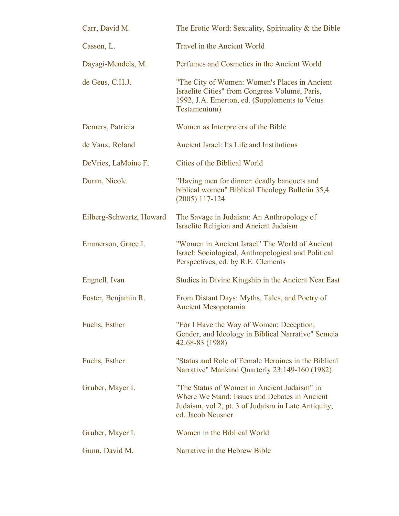| Carr, David M.           | The Erotic Word: Sexuality, Spirituality & the Bible                                                                                                                     |
|--------------------------|--------------------------------------------------------------------------------------------------------------------------------------------------------------------------|
| Casson, L.               | Travel in the Ancient World                                                                                                                                              |
| Dayagi-Mendels, M.       | Perfumes and Cosmetics in the Ancient World                                                                                                                              |
| de Geus, C.H.J.          | "The City of Women: Women's Places in Ancient<br>Israelite Cities" from Congress Volume, Paris,<br>1992, J.A. Emerton, ed. (Supplements to Vetus<br>Testamentum)         |
| Demers, Patricia         | Women as Interpreters of the Bible                                                                                                                                       |
| de Vaux, Roland          | Ancient Israel: Its Life and Institutions                                                                                                                                |
| DeVries, LaMoine F.      | Cities of the Biblical World                                                                                                                                             |
| Duran, Nicole            | "Having men for dinner: deadly banquets and<br>biblical women" Biblical Theology Bulletin 35,4<br>$(2005)$ 117-124                                                       |
| Eilberg-Schwartz, Howard | The Savage in Judaism: An Anthropology of<br><b>Israelite Religion and Ancient Judaism</b>                                                                               |
| Emmerson, Grace I.       | "Women in Ancient Israel" The World of Ancient<br>Israel: Sociological, Anthropological and Political<br>Perspectives, ed. by R.E. Clements                              |
| Engnell, Ivan            | Studies in Divine Kingship in the Ancient Near East                                                                                                                      |
| Foster, Benjamin R.      | From Distant Days: Myths, Tales, and Poetry of<br>Ancient Mesopotamia                                                                                                    |
| Fuchs, Esther            | "For I Have the Way of Women: Deception,<br>Gender, and Ideology in Biblical Narrative" Semeia<br>42:68-83 (1988)                                                        |
| Fuchs, Esther            | "Status and Role of Female Heroines in the Biblical<br>Narrative" Mankind Quarterly 23:149-160 (1982)                                                                    |
| Gruber, Mayer I.         | "The Status of Women in Ancient Judaism" in<br>Where We Stand: Issues and Debates in Ancient<br>Judaism, vol 2, pt. 3 of Judaism in Late Antiquity,<br>ed. Jacob Neusner |
| Gruber, Mayer I.         | Women in the Biblical World                                                                                                                                              |
| Gunn, David M.           | Narrative in the Hebrew Bible                                                                                                                                            |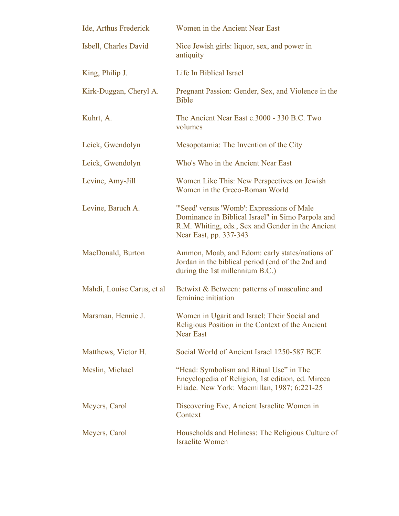| Ide, Arthus Frederick      | Women in the Ancient Near East                                                                                                                                                |
|----------------------------|-------------------------------------------------------------------------------------------------------------------------------------------------------------------------------|
| Isbell, Charles David      | Nice Jewish girls: liquor, sex, and power in<br>antiquity                                                                                                                     |
| King, Philip J.            | Life In Biblical Israel                                                                                                                                                       |
| Kirk-Duggan, Cheryl A.     | Pregnant Passion: Gender, Sex, and Violence in the<br><b>Bible</b>                                                                                                            |
| Kuhrt, A.                  | The Ancient Near East c.3000 - 330 B.C. Two<br>volumes                                                                                                                        |
| Leick, Gwendolyn           | Mesopotamia: The Invention of the City                                                                                                                                        |
| Leick, Gwendolyn           | Who's Who in the Ancient Near East                                                                                                                                            |
| Levine, Amy-Jill           | Women Like This: New Perspectives on Jewish<br>Women in the Greco-Roman World                                                                                                 |
| Levine, Baruch A.          | "Seed' versus 'Womb': Expressions of Male<br>Dominance in Biblical Israel" in Simo Parpola and<br>R.M. Whiting, eds., Sex and Gender in the Ancient<br>Near East, pp. 337-343 |
| MacDonald, Burton          | Ammon, Moab, and Edom: early states/nations of<br>Jordan in the biblical period (end of the 2nd and<br>during the 1st millennium B.C.)                                        |
| Mahdi, Louise Carus, et al | Betwixt & Between: patterns of masculine and<br>feminine initiation                                                                                                           |
| Marsman, Hennie J.         | Women in Ugarit and Israel: Their Social and<br>Religious Position in the Context of the Ancient<br><b>Near East</b>                                                          |
| Matthews, Victor H.        | Social World of Ancient Israel 1250-587 BCE                                                                                                                                   |
| Meslin, Michael            | "Head: Symbolism and Ritual Use" in The<br>Encyclopedia of Religion, 1st edition, ed. Mircea<br>Eliade. New York: Macmillan, 1987; 6:221-25                                   |
| Meyers, Carol              | Discovering Eve, Ancient Israelite Women in<br>Context                                                                                                                        |
| Meyers, Carol              | Households and Holiness: The Religious Culture of<br><b>Israelite Women</b>                                                                                                   |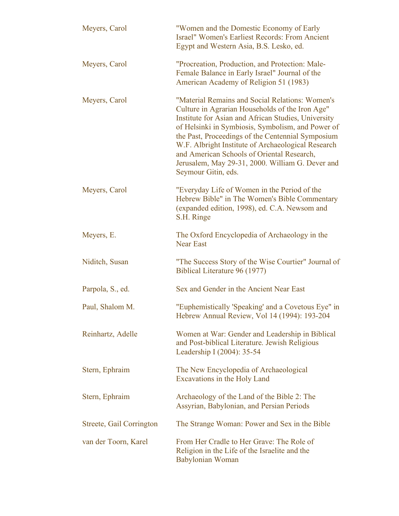| Meyers, Carol            | "Women and the Domestic Economy of Early<br>Israel" Women's Earliest Records: From Ancient<br>Egypt and Western Asia, B.S. Lesko, ed.                                                                                                                                                                                                                                                                                                              |
|--------------------------|----------------------------------------------------------------------------------------------------------------------------------------------------------------------------------------------------------------------------------------------------------------------------------------------------------------------------------------------------------------------------------------------------------------------------------------------------|
| Meyers, Carol            | "Procreation, Production, and Protection: Male-<br>Female Balance in Early Israel" Journal of the<br>American Academy of Religion 51 (1983)                                                                                                                                                                                                                                                                                                        |
| Meyers, Carol            | "Material Remains and Social Relations: Women's<br>Culture in Agrarian Households of the Iron Age"<br>Institute for Asian and African Studies, University<br>of Helsinki in Symbiosis, Symbolism, and Power of<br>the Past, Proceedings of the Centennial Symposium<br>W.F. Albright Institute of Archaeological Research<br>and American Schools of Oriental Research,<br>Jerusalem, May 29-31, 2000. William G. Dever and<br>Seymour Gitin, eds. |
| Meyers, Carol            | "Everyday Life of Women in the Period of the<br>Hebrew Bible" in The Women's Bible Commentary<br>(expanded edition, 1998), ed. C.A. Newsom and<br>S.H. Ringe                                                                                                                                                                                                                                                                                       |
| Meyers, E.               | The Oxford Encyclopedia of Archaeology in the<br><b>Near East</b>                                                                                                                                                                                                                                                                                                                                                                                  |
| Niditch, Susan           | "The Success Story of the Wise Courtier" Journal of<br>Biblical Literature 96 (1977)                                                                                                                                                                                                                                                                                                                                                               |
| Parpola, S., ed.         | Sex and Gender in the Ancient Near East                                                                                                                                                                                                                                                                                                                                                                                                            |
| Paul, Shalom M.          | "Euphemistically 'Speaking' and a Covetous Eye" in<br>Hebrew Annual Review, Vol 14 (1994): 193-204                                                                                                                                                                                                                                                                                                                                                 |
| Reinhartz, Adelle        | Women at War: Gender and Leadership in Biblical<br>and Post-biblical Literature. Jewish Religious<br>Leadership I (2004): 35-54                                                                                                                                                                                                                                                                                                                    |
| Stern, Ephraim           | The New Encyclopedia of Archaeological<br>Excavations in the Holy Land                                                                                                                                                                                                                                                                                                                                                                             |
| Stern, Ephraim           | Archaeology of the Land of the Bible 2: The<br>Assyrian, Babylonian, and Persian Periods                                                                                                                                                                                                                                                                                                                                                           |
| Streete, Gail Corrington | The Strange Woman: Power and Sex in the Bible                                                                                                                                                                                                                                                                                                                                                                                                      |
| van der Toorn, Karel     | From Her Cradle to Her Grave: The Role of<br>Religion in the Life of the Israelite and the<br>Babylonian Woman                                                                                                                                                                                                                                                                                                                                     |